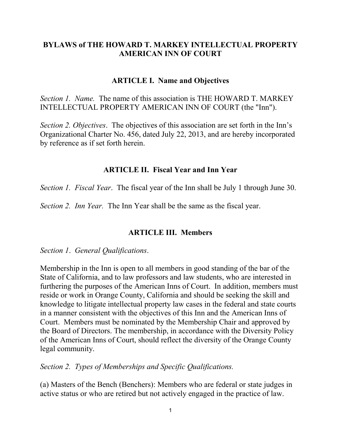# **BYLAWS of THE HOWARD T. MARKEY INTELLECTUAL PROPERTY AMERICAN INN OF COURT**

### **ARTICLE I. Name and Objectives**

*Section 1. Name.* The name of this association is THE HOWARD T. MARKEY INTELLECTUAL PROPERTY AMERICAN INN OF COURT (the "Inn").

*Section 2. Objectives*. The objectives of this association are set forth in the Inn's Organizational Charter No. 456, dated July 22, 2013, and are hereby incorporated by reference as if set forth herein.

### **ARTICLE II. Fiscal Year and Inn Year**

*Section 1. Fiscal Year*. The fiscal year of the Inn shall be July 1 through June 30.

*Section 2. Inn Year.* The Inn Year shall be the same as the fiscal year.

### **ARTICLE III. Members**

*Section 1*. *General Qualifications*.

Membership in the Inn is open to all members in good standing of the bar of the State of California, and to law professors and law students, who are interested in furthering the purposes of the American Inns of Court. In addition, members must reside or work in Orange County, California and should be seeking the skill and knowledge to litigate intellectual property law cases in the federal and state courts in a manner consistent with the objectives of this Inn and the American Inns of Court. Members must be nominated by the Membership Chair and approved by the Board of Directors. The membership, in accordance with the Diversity Policy of the American Inns of Court, should reflect the diversity of the Orange County legal community.

*Section 2. Types of Memberships and Specific Qualifications.*

(a) Masters of the Bench (Benchers): Members who are federal or state judges in active status or who are retired but not actively engaged in the practice of law.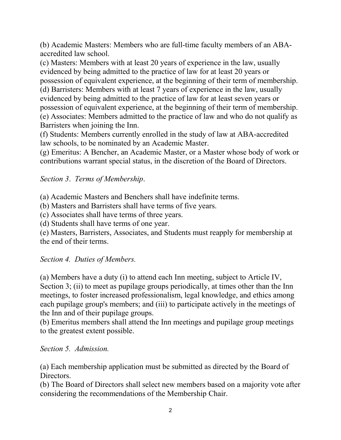(b) Academic Masters: Members who are full-time faculty members of an ABAaccredited law school.

(c) Masters: Members with at least 20 years of experience in the law, usually evidenced by being admitted to the practice of law for at least 20 years or possession of equivalent experience, at the beginning of their term of membership. (d) Barristers: Members with at least 7 years of experience in the law, usually evidenced by being admitted to the practice of law for at least seven years or possession of equivalent experience, at the beginning of their term of membership. (e) Associates: Members admitted to the practice of law and who do not qualify as Barristers when joining the Inn.

(f) Students: Members currently enrolled in the study of law at ABA-accredited law schools, to be nominated by an Academic Master.

(g) Emeritus: A Bencher, an Academic Master, or a Master whose body of work or contributions warrant special status, in the discretion of the Board of Directors.

# *Section 3*. *Terms of Membership*.

(a) Academic Masters and Benchers shall have indefinite terms.

(b) Masters and Barristers shall have terms of five years.

(c) Associates shall have terms of three years.

(d) Students shall have terms of one year.

(e) Masters, Barristers, Associates, and Students must reapply for membership at the end of their terms.

# *Section 4. Duties of Members.*

(a) Members have a duty (i) to attend each Inn meeting, subject to Article IV, Section 3; (ii) to meet as pupilage groups periodically, at times other than the Inn meetings, to foster increased professionalism, legal knowledge, and ethics among each pupilage group's members; and (iii) to participate actively in the meetings of the Inn and of their pupilage groups.

(b) Emeritus members shall attend the Inn meetings and pupilage group meetings to the greatest extent possible.

# *Section 5. Admission.*

(a) Each membership application must be submitted as directed by the Board of Directors.

(b) The Board of Directors shall select new members based on a majority vote after considering the recommendations of the Membership Chair.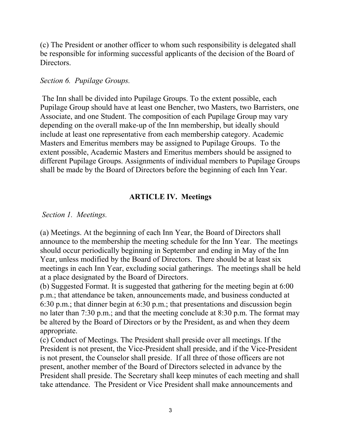(c) The President or another officer to whom such responsibility is delegated shall be responsible for informing successful applicants of the decision of the Board of Directors.

### *Section 6. Pupilage Groups.*

The Inn shall be divided into Pupilage Groups. To the extent possible, each Pupilage Group should have at least one Bencher, two Masters, two Barristers, one Associate, and one Student. The composition of each Pupilage Group may vary depending on the overall make-up of the Inn membership, but ideally should include at least one representative from each membership category. Academic Masters and Emeritus members may be assigned to Pupilage Groups. To the extent possible, Academic Masters and Emeritus members should be assigned to different Pupilage Groups. Assignments of individual members to Pupilage Groups shall be made by the Board of Directors before the beginning of each Inn Year.

# **ARTICLE IV. Meetings**

### *Section 1. Meetings.*

(a) Meetings. At the beginning of each Inn Year, the Board of Directors shall announce to the membership the meeting schedule for the Inn Year. The meetings should occur periodically beginning in September and ending in May of the Inn Year, unless modified by the Board of Directors. There should be at least six meetings in each Inn Year, excluding social gatherings. The meetings shall be held at a place designated by the Board of Directors.

(b) Suggested Format. It is suggested that gathering for the meeting begin at 6:00 p.m.; that attendance be taken, announcements made, and business conducted at 6:30 p.m.; that dinner begin at 6:30 p.m.; that presentations and discussion begin no later than 7:30 p.m.; and that the meeting conclude at 8:30 p.m. The format may be altered by the Board of Directors or by the President, as and when they deem appropriate.

(c) Conduct of Meetings. The President shall preside over all meetings. If the President is not present, the Vice-President shall preside, and if the Vice-President is not present, the Counselor shall preside. If all three of those officers are not present, another member of the Board of Directors selected in advance by the President shall preside. The Secretary shall keep minutes of each meeting and shall take attendance. The President or Vice President shall make announcements and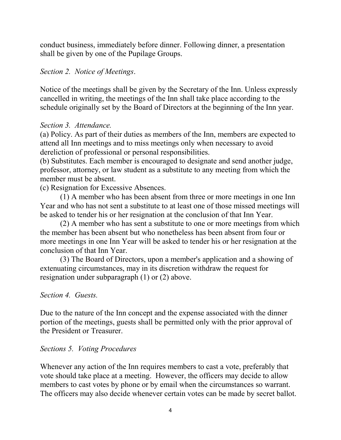conduct business, immediately before dinner. Following dinner, a presentation shall be given by one of the Pupilage Groups.

### *Section 2. Notice of Meetings*.

Notice of the meetings shall be given by the Secretary of the Inn. Unless expressly cancelled in writing, the meetings of the Inn shall take place according to the schedule originally set by the Board of Directors at the beginning of the Inn year.

## *Section 3. Attendance.*

(a) Policy. As part of their duties as members of the Inn, members are expected to attend all Inn meetings and to miss meetings only when necessary to avoid dereliction of professional or personal responsibilities.

(b) Substitutes. Each member is encouraged to designate and send another judge, professor, attorney, or law student as a substitute to any meeting from which the member must be absent.

(c) Resignation for Excessive Absences.

(1) A member who has been absent from three or more meetings in one Inn Year and who has not sent a substitute to at least one of those missed meetings will be asked to tender his or her resignation at the conclusion of that Inn Year.

(2) A member who has sent a substitute to one or more meetings from which the member has been absent but who nonetheless has been absent from four or more meetings in one Inn Year will be asked to tender his or her resignation at the conclusion of that Inn Year.

(3) The Board of Directors, upon a member's application and a showing of extenuating circumstances, may in its discretion withdraw the request for resignation under subparagraph (1) or (2) above.

### *Section 4. Guests.*

Due to the nature of the Inn concept and the expense associated with the dinner portion of the meetings, guests shall be permitted only with the prior approval of the President or Treasurer.

### *Sections 5. Voting Procedures*

Whenever any action of the Inn requires members to cast a vote, preferably that vote should take place at a meeting. However, the officers may decide to allow members to cast votes by phone or by email when the circumstances so warrant. The officers may also decide whenever certain votes can be made by secret ballot.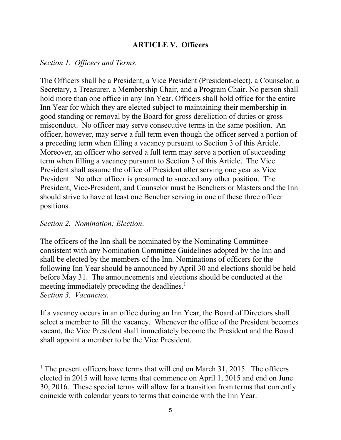## **ARTICLE V. Officers**

#### *Section 1. Officers and Terms.*

The Officers shall be a President, a Vice President (President-elect), a Counselor, a Secretary, a Treasurer, a Membership Chair, and a Program Chair. No person shall hold more than one office in any Inn Year. Officers shall hold office for the entire Inn Year for which they are elected subject to maintaining their membership in good standing or removal by the Board for gross dereliction of duties or gross misconduct. No officer may serve consecutive terms in the same position. An officer, however, may serve a full term even though the officer served a portion of a preceding term when filling a vacancy pursuant to Section 3 of this Article. Moreover, an officer who served a full term may serve a portion of succeeding term when filling a vacancy pursuant to Section 3 of this Article. The Vice President shall assume the office of President after serving one year as Vice President. No other officer is presumed to succeed any other position. The President, Vice-President, and Counselor must be Benchers or Masters and the Inn should strive to have at least one Bencher serving in one of these three officer positions.

#### *Section 2. Nomination; Election*.

-

The officers of the Inn shall be nominated by the Nominating Committee consistent with any Nomination Committee Guidelines adopted by the Inn and shall be elected by the members of the Inn. Nominations of officers for the following Inn Year should be announced by April 30 and elections should be held before May 31. The announcements and elections should be conducted at the meeting immediately preceding the deadlines. $1$ *Section 3. Vacancies.*

If a vacancy occurs in an office during an Inn Year, the Board of Directors shall select a member to fill the vacancy. Whenever the office of the President becomes vacant, the Vice President shall immediately become the President and the Board shall appoint a member to be the Vice President.

<sup>&</sup>lt;sup>1</sup> The present officers have terms that will end on March  $31$ ,  $2015$ . The officers elected in 2015 will have terms that commence on April 1, 2015 and end on June 30, 2016. These special terms will allow for a transition from terms that currently coincide with calendar years to terms that coincide with the Inn Year.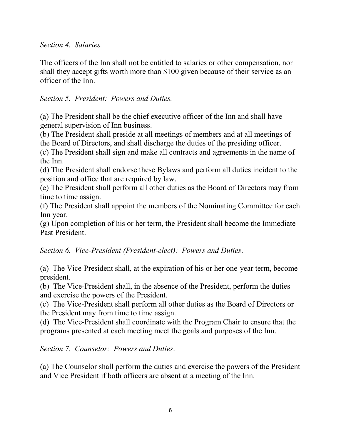*Section 4. Salaries.*

The officers of the Inn shall not be entitled to salaries or other compensation, nor shall they accept gifts worth more than \$100 given because of their service as an officer of the Inn.

# *Section 5. President: Powers and Duties.*

(a) The President shall be the chief executive officer of the Inn and shall have general supervision of Inn business.

(b) The President shall preside at all meetings of members and at all meetings of the Board of Directors, and shall discharge the duties of the presiding officer.

(c) The President shall sign and make all contracts and agreements in the name of the Inn.

(d) The President shall endorse these Bylaws and perform all duties incident to the position and office that are required by law.

(e) The President shall perform all other duties as the Board of Directors may from time to time assign.

(f) The President shall appoint the members of the Nominating Committee for each Inn year.

(g) Upon completion of his or her term, the President shall become the Immediate Past President.

*Section 6. Vice-President (President-elect): Powers and Duties*.

(a) The Vice-President shall, at the expiration of his or her one-year term, become president.

(b) The Vice-President shall, in the absence of the President, perform the duties and exercise the powers of the President.

(c) The Vice-President shall perform all other duties as the Board of Directors or the President may from time to time assign.

(d) The Vice-President shall coordinate with the Program Chair to ensure that the programs presented at each meeting meet the goals and purposes of the Inn.

*Section 7. Counselor: Powers and Duties*.

(a) The Counselor shall perform the duties and exercise the powers of the President and Vice President if both officers are absent at a meeting of the Inn.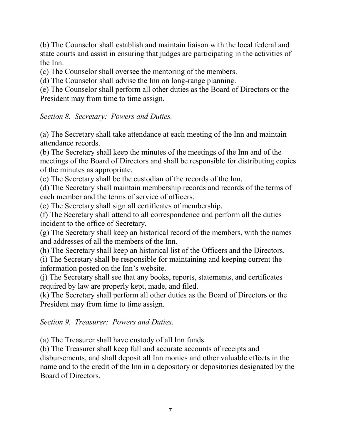(b) The Counselor shall establish and maintain liaison with the local federal and state courts and assist in ensuring that judges are participating in the activities of the Inn.

(c) The Counselor shall oversee the mentoring of the members.

(d) The Counselor shall advise the Inn on long-range planning.

(e) The Counselor shall perform all other duties as the Board of Directors or the President may from time to time assign.

*Section 8. Secretary: Powers and Duties.*

(a) The Secretary shall take attendance at each meeting of the Inn and maintain attendance records.

(b) The Secretary shall keep the minutes of the meetings of the Inn and of the meetings of the Board of Directors and shall be responsible for distributing copies of the minutes as appropriate.

(c) The Secretary shall be the custodian of the records of the Inn.

(d) The Secretary shall maintain membership records and records of the terms of each member and the terms of service of officers.

(e) The Secretary shall sign all certificates of membership.

(f) The Secretary shall attend to all correspondence and perform all the duties incident to the office of Secretary.

(g) The Secretary shall keep an historical record of the members, with the names and addresses of all the members of the Inn.

(h) The Secretary shall keep an historical list of the Officers and the Directors.

(i) The Secretary shall be responsible for maintaining and keeping current the information posted on the Inn's website.

(j) The Secretary shall see that any books, reports, statements, and certificates required by law are properly kept, made, and filed.

(k) The Secretary shall perform all other duties as the Board of Directors or the President may from time to time assign.

*Section 9. Treasurer: Powers and Duties.*

(a) The Treasurer shall have custody of all Inn funds.

(b) The Treasurer shall keep full and accurate accounts of receipts and disbursements, and shall deposit all Inn monies and other valuable effects in the name and to the credit of the Inn in a depository or depositories designated by the Board of Directors.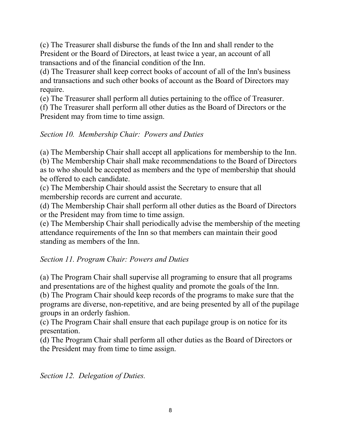(c) The Treasurer shall disburse the funds of the Inn and shall render to the President or the Board of Directors, at least twice a year, an account of all transactions and of the financial condition of the Inn.

(d) The Treasurer shall keep correct books of account of all of the Inn's business and transactions and such other books of account as the Board of Directors may require.

(e) The Treasurer shall perform all duties pertaining to the office of Treasurer.

(f) The Treasurer shall perform all other duties as the Board of Directors or the President may from time to time assign.

### *Section 10. Membership Chair: Powers and Duties*

(a) The Membership Chair shall accept all applications for membership to the Inn. (b) The Membership Chair shall make recommendations to the Board of Directors as to who should be accepted as members and the type of membership that should be offered to each candidate.

(c) The Membership Chair should assist the Secretary to ensure that all membership records are current and accurate.

(d) The Membership Chair shall perform all other duties as the Board of Directors or the President may from time to time assign.

(e) The Membership Chair shall periodically advise the membership of the meeting attendance requirements of the Inn so that members can maintain their good standing as members of the Inn.

### *Section 11. Program Chair: Powers and Duties*

(a) The Program Chair shall supervise all programing to ensure that all programs and presentations are of the highest quality and promote the goals of the Inn.

(b) The Program Chair should keep records of the programs to make sure that the programs are diverse, non-repetitive, and are being presented by all of the pupilage groups in an orderly fashion.

(c) The Program Chair shall ensure that each pupilage group is on notice for its presentation.

(d) The Program Chair shall perform all other duties as the Board of Directors or the President may from time to time assign.

*Section 12. Delegation of Duties.*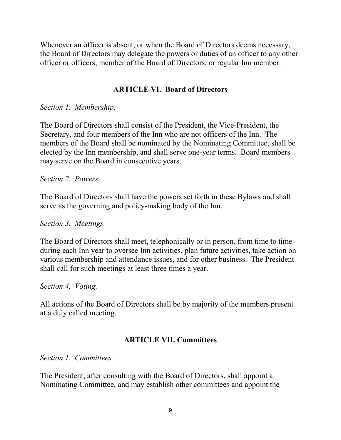Whenever an officer is absent, or when the Board of Directors deems necessary, the Board of Directors may delegate the powers or duties of an officer to any other officer or officers, member of the Board of Directors, or regular Inn member.

# **ARTICLE VI. Board of Directors**

*Section 1. Membership.*

The Board of Directors shall consist of the President, the Vice-President, the Secretary, and four members of the Inn who are not officers of the Inn. The members of the Board shall be nominated by the Nominating Committee, shall be elected by the Inn membership, and shall serve one-year terms. Board members may serve on the Board in consecutive years.

*Section 2. Powers.*

The Board of Directors shall have the powers set forth in these Bylaws and shall serve as the governing and policy-making body of the Inn.

*Section 3. Meetings.*

The Board of Directors shall meet, telephonically or in person, from time to time during each Inn year to oversee Inn activities, plan future activities, take action on various membership and attendance issues, and for other business. The President shall call for such meetings at least three times a year.

*Section 4. Voting.*

All actions of the Board of Directors shall be by majority of the members present at a duly called meeting.

## **ARTICLE VII. Committees**

*Section 1. Committees.*

The President, after consulting with the Board of Directors, shall appoint a Nominating Committee, and may establish other committees and appoint the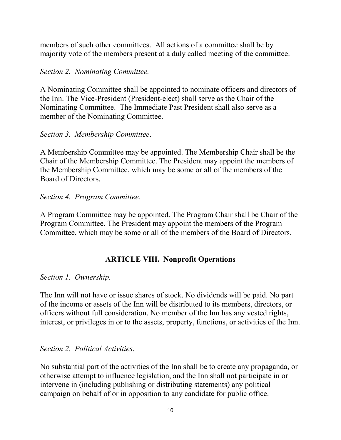members of such other committees. All actions of a committee shall be by majority vote of the members present at a duly called meeting of the committee.

### *Section 2. Nominating Committee.*

A Nominating Committee shall be appointed to nominate officers and directors of the Inn. The Vice-President (President-elect) shall serve as the Chair of the Nominating Committee. The Immediate Past President shall also serve as a member of the Nominating Committee.

## *Section 3. Membership Committee*.

A Membership Committee may be appointed. The Membership Chair shall be the Chair of the Membership Committee. The President may appoint the members of the Membership Committee, which may be some or all of the members of the Board of Directors.

### *Section 4. Program Committee.*

A Program Committee may be appointed. The Program Chair shall be Chair of the Program Committee. The President may appoint the members of the Program Committee, which may be some or all of the members of the Board of Directors.

## **ARTICLE VIII. Nonprofit Operations**

## *Section 1. Ownership.*

The Inn will not have or issue shares of stock. No dividends will be paid. No part of the income or assets of the Inn will be distributed to its members, directors, or officers without full consideration. No member of the Inn has any vested rights, interest, or privileges in or to the assets, property, functions, or activities of the Inn.

## *Section 2. Political Activities*.

No substantial part of the activities of the Inn shall be to create any propaganda, or otherwise attempt to influence legislation, and the Inn shall not participate in or intervene in (including publishing or distributing statements) any political campaign on behalf of or in opposition to any candidate for public office.